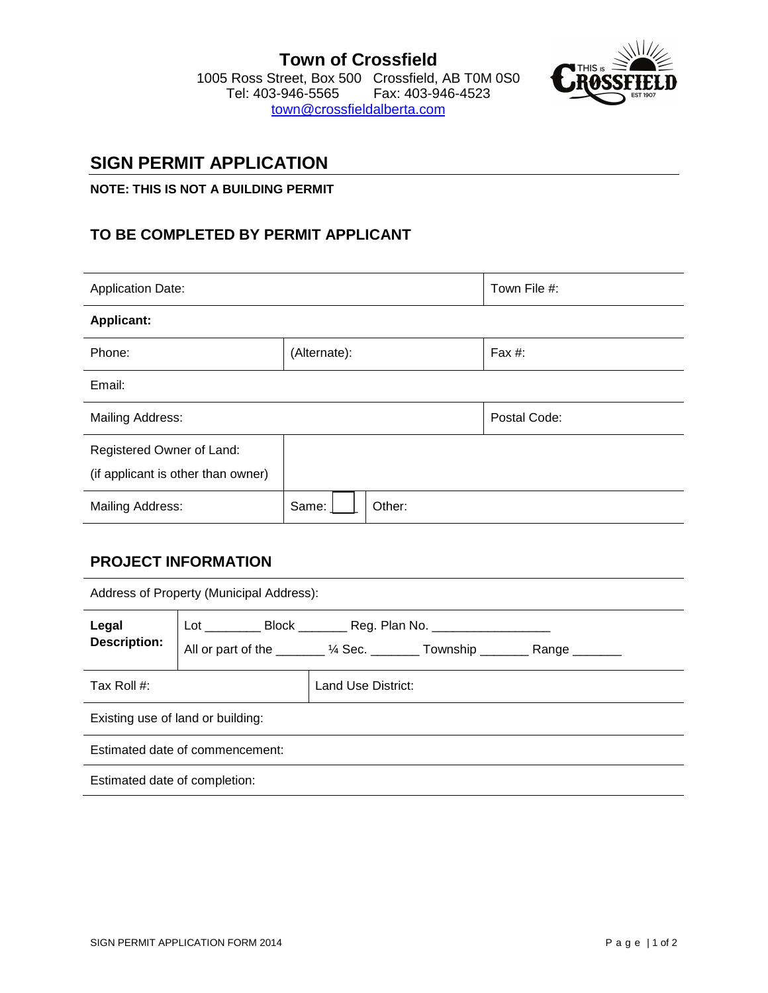

# **SIGN PERMIT APPLICATION**

### **NOTE: THIS IS NOT A BUILDING PERMIT**

# **TO BE COMPLETED BY PERMIT APPLICANT**

| <b>Application Date:</b>                                        |                 | Town File #: |  |  |  |  |
|-----------------------------------------------------------------|-----------------|--------------|--|--|--|--|
| <b>Applicant:</b>                                               |                 |              |  |  |  |  |
| Phone:                                                          | (Alternate):    | Fax #:       |  |  |  |  |
| Email:                                                          |                 |              |  |  |  |  |
| Mailing Address:                                                |                 | Postal Code: |  |  |  |  |
| Registered Owner of Land:<br>(if applicant is other than owner) |                 |              |  |  |  |  |
| <b>Mailing Address:</b>                                         | Same:<br>Other: |              |  |  |  |  |

## **PROJECT INFORMATION**

| Address of Property (Municipal Address): |                                                                                                                                                                  |                    |  |  |  |
|------------------------------------------|------------------------------------------------------------------------------------------------------------------------------------------------------------------|--------------------|--|--|--|
| Legal<br><b>Description:</b>             | Lot _____________ Block ____________ Reg. Plan No. _____________________________<br>All or part of the _______ 1/4 Sec. ________ Township ________ Range _______ |                    |  |  |  |
| Tax Roll #:                              |                                                                                                                                                                  | Land Use District: |  |  |  |
|                                          | Existing use of land or building:                                                                                                                                |                    |  |  |  |
| Estimated date of commencement:          |                                                                                                                                                                  |                    |  |  |  |
| Estimated date of completion:            |                                                                                                                                                                  |                    |  |  |  |